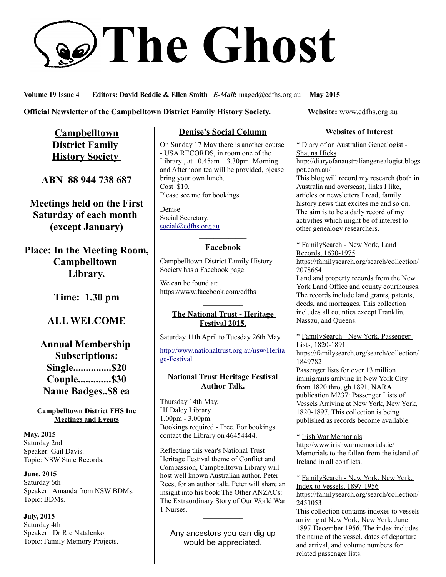# **The Ghost**

#### **Volume 19 Issue 4 Editors: David Beddie & Ellen Smith** *E-Mail***:** maged@cdfhs.org.au **May 2015**

#### **Official Newsletter of the Campbelltown District Family History Society. Website: www.cdfhs.org.au**

**Campbelltown District Family History Society** 

**ABN 88 944 738 687**

**Meetings held on the First Saturday of each month (except January)**

**Place: In the Meeting Room, Campbelltown Library.**

**Time: 1.30 pm**

## **ALL WELCOME**

# **Annual Membership Subscriptions: Single...............\$20 Couple.............\$30 Name Badges..\$8 ea**

**Campbelltown District FHS Inc Meetings and Events**

**May, 2015** Saturday 2nd Speaker: Gail Davis. Topic: NSW State Records.

**June, 2015** Saturday 6th Speaker: Amanda from NSW BDMs. Topic: BDMs.

**July, 2015** Saturday 4th Speaker: Dr Rie Natalenko. Topic: Family Memory Projects.

## **Denise's Social Column**

On Sunday 17 May there is another course - USA RECORDS, in room one of the Library, at  $10.45$ am –  $3.30$ pm. Morning and Afternoon tea will be provided, p[ease bring your own lunch. Cost \$10. Please see me for bookings.

Denise Social Secretary. [social@cdfhs.org.au](mailto:social@cdfhs.org.au)

#### ——————– **Facebook**

Campbelltown District Family History Society has a Facebook page.

We can be found at: https://www.facebook.com/cdfhs

#### —————– **The National Trust - Heritage Festival 2015.**

Saturday 11th April to Tuesday 26th May.

[http://www.nationaltrust.org.au/nsw/Herita](http://www.nationaltrust.org.au/nsw/Heritage-Festival) [ge-Festival](http://www.nationaltrust.org.au/nsw/Heritage-Festival)

#### **National Trust Heritage Festival Author Talk.**

Thursday 14th May. HJ Daley Library. 1.00pm - 3.00pm. Bookings required - Free. For bookings contact the Library on 46454444.

Reflecting this year's National Trust Heritage Festival theme of Conflict and Compassion, Campbelltown Library will host well known Australian author, Peter Rees, for an author talk. Peter will share an insight into his book The Other ANZACs: The Extraordinary Story of Our World War 1 Nurses.

Any ancestors you can dig up would be appreciated.

—————–

#### **Websites of Interest**

\* Diary of an Australian Genealogist - Shauna Hicks

http://diaryofanaustraliangenealogist.blogs pot.com.au/

This blog will record my research (both in Australia and overseas), links I like, articles or newsletters I read, family history news that excites me and so on. The aim is to be a daily record of my activities which might be of interest to other genealogy researchers.

\* FamilySearch - New York, Land Records, 1630-1975

https://familysearch.org/search/collection/ 2078654

Land and property records from the New York Land Office and county courthouses. The records include land grants, patents, deeds, and mortgages. This collection includes all counties except Franklin, Nassau, and Queens.

\* FamilySearch - New York, Passenger Lists, 1820-1891

https://familysearch.org/search/collection/ 1849782

Passenger lists for over 13 million immigrants arriving in New York City from 1820 through 1891. NARA publication M237: Passenger Lists of Vessels Arriving at New York, New York, 1820-1897. This collection is being published as records become available.

\* Irish War Memorials http://www.irishwarmemorials.ie/ Memorials to the fallen from the island of Ireland in all conflicts.

\* FamilySearch - New York, New York, Index to Vessels, 1897-1956 https://familysearch.org/search/collection/ 2451053 This collection contains indexes to vessels arriving at New York, New York, June 1897-December 1956. The index includes the name of the vessel, dates of departure and arrival, and volume numbers for related passenger lists.